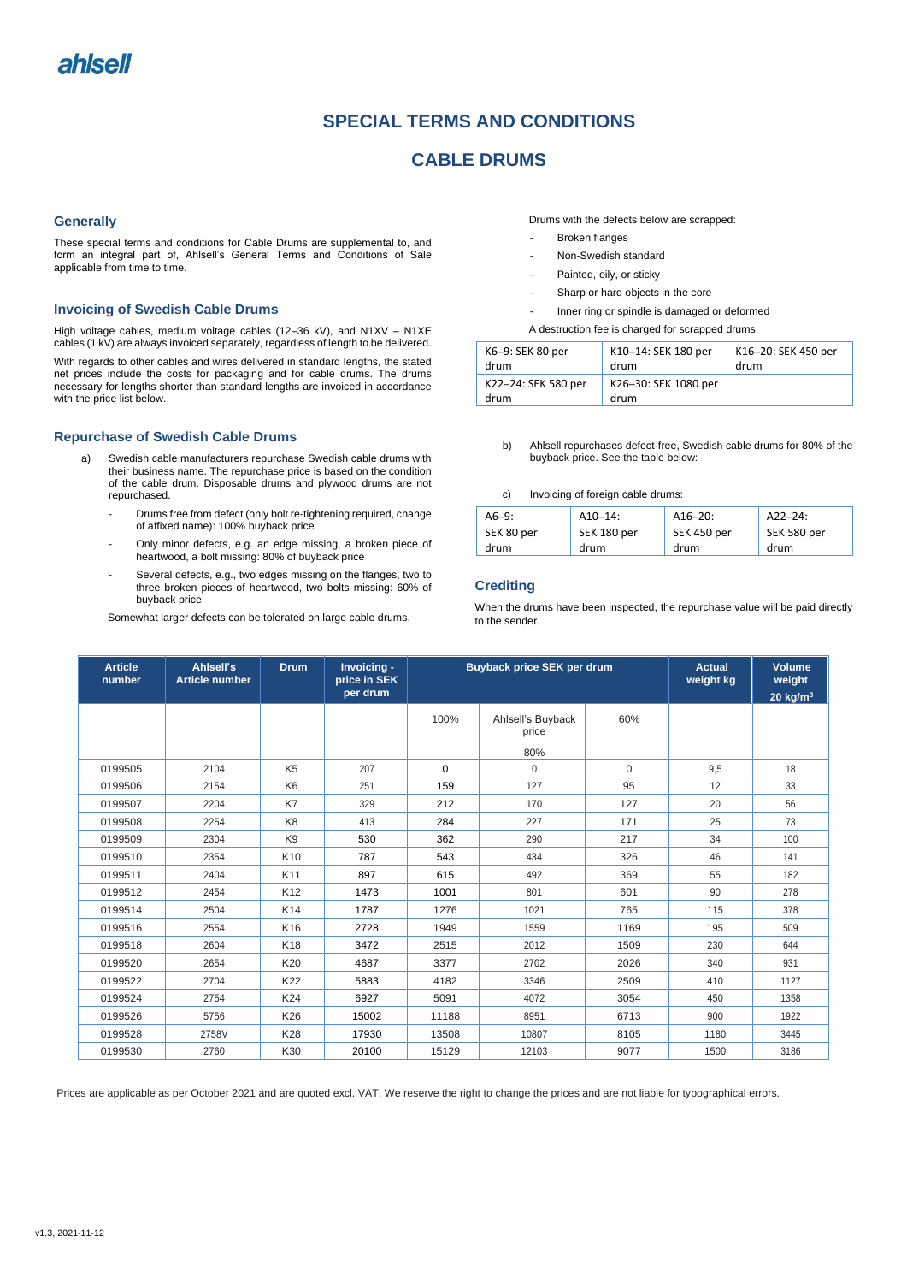# **SPECIAL TERMS AND CONDITIONS**

# **CABLE DRUMS**

### **Generally**

These special terms and conditions for Cable Drums are supplemental to, and form an integral part of, Ahlsell's General Terms and Conditions of Sale applicable from time to time.

## **Invoicing of Swedish Cable Drums**

High voltage cables, medium voltage cables (12–36 kV), and N1XV – N1XE cables (1 kV) are always invoiced separately, regardless of length to be delivered.

With regards to other cables and wires delivered in standard lengths, the stated net prices include the costs for packaging and for cable drums. The drums necessary for lengths shorter than standard lengths are invoiced in accordance with the price list below.

## **Repurchase of Swedish Cable Drums**

- a) Swedish cable manufacturers repurchase Swedish cable drums with their business name. The repurchase price is based on the condition of the cable drum. Disposable drums and plywood drums are not repurchased.
	- Drums free from defect (only bolt re-tightening required, change of affixed name): 100% buyback price
	- Only minor defects, e.g. an edge missing, a broken piece of heartwood, a bolt missing: 80% of buyback price
	- Several defects, e.g., two edges missing on the flanges, two to three broken pieces of heartwood, two bolts missing: 60% of buyback price

Somewhat larger defects can be tolerated on large cable drums.

Drums with the defects below are scrapped:

- Broken flanges
- Non-Swedish standard
- Painted, oily, or sticky
- Sharp or hard objects in the core
- Inner ring or spindle is damaged or deformed
- A destruction fee is charged for scrapped drums:

| K6-9: SEK 80 per            | K10-14: SEK 180 per          | K16-20: SEK 450 per |
|-----------------------------|------------------------------|---------------------|
| drum                        | drum                         | drum                |
| K22-24: SEK 580 per<br>drum | K26-30: SEK 1080 per<br>drum |                     |

- b) Ahlsell repurchases defect-free, Swedish cable drums for 80% of the buyback price. See the table below:
- c) Invoicing of foreign cable drums:

| $A6-9:$    | $A10-14$ :  | $A16 - 20$ : | $A22 - 24$ : |
|------------|-------------|--------------|--------------|
| SEK 80 per | SEK 180 per | SEK 450 per  | SEK 580 per  |
| drum       | drum        | drum         | drum         |

### **Crediting**

When the drums have been inspected, the repurchase value will be paid directly to the sender.

| <b>Article</b><br>number | Ahlsell's<br><b>Article number</b> | <b>Drum</b>     | Invoicing -<br>price in SEK<br>per drum | <b>Buyback price SEK per drum</b> |                            |             | <b>Actual</b><br>weight kg | Volume<br>weight<br>20 $kg/m3$ |
|--------------------------|------------------------------------|-----------------|-----------------------------------------|-----------------------------------|----------------------------|-------------|----------------------------|--------------------------------|
|                          |                                    |                 |                                         | 100%                              | Ahlsell's Buyback<br>price | 60%         |                            |                                |
|                          |                                    |                 |                                         |                                   | 80%                        |             |                            |                                |
| 0199505                  | 2104                               | K <sub>5</sub>  | 207                                     | $\Omega$                          | $\Omega$                   | $\mathbf 0$ | 9,5                        | 18                             |
| 0199506                  | 2154                               | K <sub>6</sub>  | 251                                     | 159                               | 127                        | 95          | 12                         | 33                             |
| 0199507                  | 2204                               | K7              | 329                                     | 212                               | 170                        | 127         | 20                         | 56                             |
| 0199508                  | 2254                               | K <sub>8</sub>  | 413                                     | 284                               | 227                        | 171         | 25                         | 73                             |
| 0199509                  | 2304                               | K <sub>9</sub>  | 530                                     | 362                               | 290                        | 217         | 34                         | 100                            |
| 0199510                  | 2354                               | K <sub>10</sub> | 787                                     | 543                               | 434                        | 326         | 46                         | 141                            |
| 0199511                  | 2404                               | K11             | 897                                     | 615                               | 492                        | 369         | 55                         | 182                            |
| 0199512                  | 2454                               | K12             | 1473                                    | 1001                              | 801                        | 601         | 90                         | 278                            |
| 0199514                  | 2504                               | K <sub>14</sub> | 1787                                    | 1276                              | 1021                       | 765         | 115                        | 378                            |
| 0199516                  | 2554                               | K16             | 2728                                    | 1949                              | 1559                       | 1169        | 195                        | 509                            |
| 0199518                  | 2604                               | K18             | 3472                                    | 2515                              | 2012                       | 1509        | 230                        | 644                            |
| 0199520                  | 2654                               | K20             | 4687                                    | 3377                              | 2702                       | 2026        | 340                        | 931                            |
| 0199522                  | 2704                               | K22             | 5883                                    | 4182                              | 3346                       | 2509        | 410                        | 1127                           |
| 0199524                  | 2754                               | K24             | 6927                                    | 5091                              | 4072                       | 3054        | 450                        | 1358                           |
| 0199526                  | 5756                               | K26             | 15002                                   | 11188                             | 8951                       | 6713        | 900                        | 1922                           |
| 0199528                  | 2758V                              | <b>K28</b>      | 17930                                   | 13508                             | 10807                      | 8105        | 1180                       | 3445                           |
| 0199530                  | 2760                               | K30             | 20100                                   | 15129                             | 12103                      | 9077        | 1500                       | 3186                           |

Prices are applicable as per October 2021 and are quoted excl. VAT. We reserve the right to change the prices and are not liable for typographical errors.